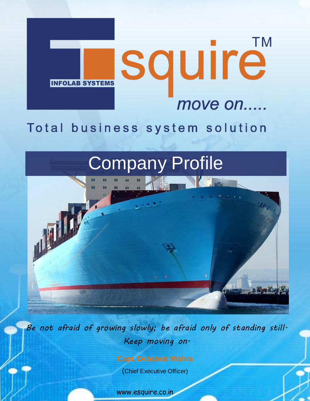

# Total business system solution

# Company Profile



*Be not afraid of growing slowly; be afraid only of standing still. Keep moving on.*

(Chief Executive Officer)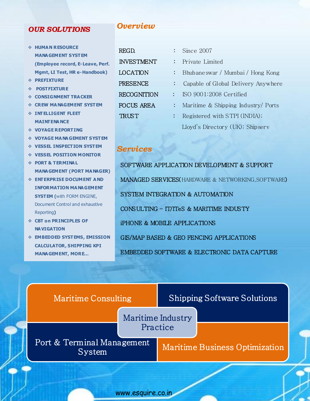#### *OUR SOLUTIONS*

- **HUMAN RESOURCE MANAGEMENT SYSTEM (Employee record, E-Leave, Perf. Mgmt, LI Test, HR e-Handbook)**
- **PREFIXTURE**
- **POSTFIXTURE**
- **CONSIGNMENT TRACKER**
- **CREW MANAGEMENT SYSTEM**
- **INTELLIGENT FLEET MAINTENANCE**
- **VOYAGE REPORTING**
- **VOYAGE MANAGEMENT SYSTEM**
- **VESSEL INSPECTION SYSTEM**
- **VESSEL POSITION MONITOR**
- **PORT & TERMINAL MANAGEMENT (PORT MANAGER)**
- **ENTERPRISE DOCUMENT AND INFORMATION MANAGEMENT SYSTEM (**with FORM ENGINE, Document Control and exhaustive Reporting**)**
- **CBT on PRINCIPLES OF NAVIGATION**
- **EMBEDDED SYSTEMS, EMISSION CALCULATOR, SHIPPING KPI MANAGEMENT, MORE…**

#### *Overview*

| REGD.           |                    |                             | : Since 2007                        |
|-----------------|--------------------|-----------------------------|-------------------------------------|
|                 | <b>INVESTMENT</b>  |                             | : Private Limited                   |
| <b>LOCATION</b> |                    | $\mathcal{L}_{\mathcal{A}}$ | Bhubaneswar / Mumbai / Hong Kong    |
| <b>PRESENCE</b> |                    | $\ddot{\phantom{a}}$        | Capable of Global Delivery Anywhere |
|                 | <b>RECOGNITION</b> |                             | ISO 9001:2008 Certified             |
|                 | FOCUS AREA         | $\mathcal{L}^{\text{max}}$  | Maritime & Shipping Industry/ Ports |
| <b>TRUST</b>    |                    |                             | Registered with STPI (INDIA);       |
|                 |                    |                             | Lloyd's Directory (UK); Shipserv    |

#### *Services*

 MANAGED SERVICES(HARDWARE & NETWORKING,SOFTWARE) SOFTWARE APPLICATION DEVELOPMENT & SUPPORT SYSTEM INTEGRATION & AUTOMATION CONSULTING – IT/ITeS & MARITIME INDUSTY iPHONE & MOBILE APPLICATIONS GIS/MAP BASED & GEO FENCING APPLICATIONS EMBEDDED SOFTWARE & ELECTRONIC DATA CAPTURE

| Maritime Consulting                         | <b>Shipping Software Solutions</b>   |  |
|---------------------------------------------|--------------------------------------|--|
|                                             | <b>Maritime Industry</b><br>Practice |  |
| Port & Terminal Management<br><b>System</b> | Maritime Business Optimization       |  |
|                                             |                                      |  |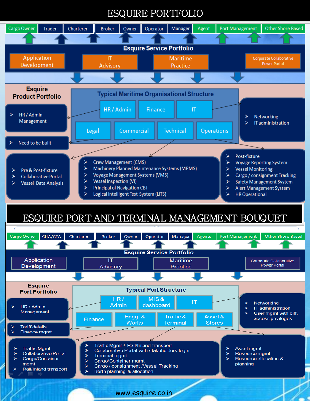## ESQUIRE PORTFOLIO

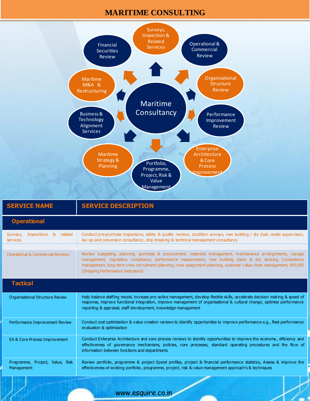### **MARITIME CONSULTING**



| <b>SERVICE NAME</b>                                  | <b>SERVICE DESCRIPTION</b>                                                                                                                                                                                                                                                                                                                                                         |  |  |  |
|------------------------------------------------------|------------------------------------------------------------------------------------------------------------------------------------------------------------------------------------------------------------------------------------------------------------------------------------------------------------------------------------------------------------------------------------|--|--|--|
| <b>Operational</b>                                   |                                                                                                                                                                                                                                                                                                                                                                                    |  |  |  |
| Inspections & related<br>Surveys,<br><b>services</b> | Conduct pre-purchase inspections, safety & quality reviews, condition surveys, new building / dry dock onsite supervision,<br>lay-up and conversion consultancy, ship breaking & technical management consultancy                                                                                                                                                                  |  |  |  |
| <b>Operational &amp; Commercial Reviews</b>          | Review budgeting, planning, purchase & procurement, materials management, maintenance arrangements, voyage<br>management, regulatory compliance, performance measurement, new building plans & dry docking, Competency<br>management, long term crew recruitment planning, crew assignment planning, customer value chain management, KPI/SPI<br>(Shipping Performance Indicators) |  |  |  |
| <b>Tactical</b>                                      |                                                                                                                                                                                                                                                                                                                                                                                    |  |  |  |
| Organisational Structure Review                      | Help balance staffing model, increase pro-active management, develop flexible skills, accelerate decision making & speed of<br>response, improve functional integration, improve management of organisational & cultural change, optimise performance<br>reporting & appraisal, staff development, knowledge management                                                            |  |  |  |
| Performance Improvement Review                       | Conduct cost optimization & value creation reviews to identify opportunities to improve performance e.g., fleet performance<br>evaluation & optimization                                                                                                                                                                                                                           |  |  |  |
| EA & Core Process Improvement                        | Conduct Enterprise Architecture and core process reviews to identify opportunities to improve the economy, efficiency and<br>effectiveness of governance mechanisms, policies, core processes, standard operating procedures and the flow of<br>information between functions and departments                                                                                      |  |  |  |
| Programme, Project, Value, Risk<br>Management        | Review portfolio, programme & project Spend profiles, project & financial performance statistics, Assess & improve the<br>effectiveness of existing portfolio, programme, project, risk & value management approach's & techniques                                                                                                                                                 |  |  |  |
|                                                      |                                                                                                                                                                                                                                                                                                                                                                                    |  |  |  |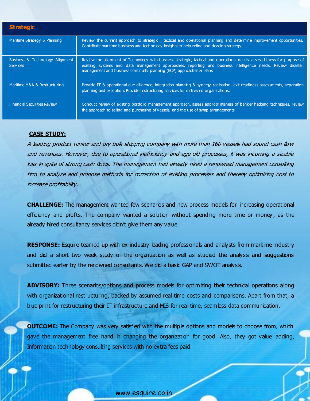| <b>Strategic</b>                                       |                                                                                                                                                                                                                                                                                                                  |
|--------------------------------------------------------|------------------------------------------------------------------------------------------------------------------------------------------------------------------------------------------------------------------------------------------------------------------------------------------------------------------|
| Maritime Strategy & Planning                           | Review the current approach to strategic, tactical and operational planning and determine improvement opportunities.<br>Contribute maritime business and technology insights to help refine and develop strategy                                                                                                 |
| <b>Business &amp; Technology Alignment</b><br>Services | Review the alignment of Technology with business strategic, tactical and operational needs, assess fitness for purpose of<br>existing systems and data management approaches, reporting and business intelligence needs, Review disaster<br>management and business continuity planning (BCP) approaches & plans |
| Maritime M&A & Restructuring                           | Provide IT & operational due diligence, integration planning & synergy realisation, exit readiness assessments, separation<br>planning and execution. Provide restructuring services for distressed organisations.                                                                                               |
| <b>Financial Securities Review</b>                     | Conduct review of existing portfolio management approach, assess appropriateness of banker hedging techniques, review<br>the approach to selling and purchasing of vessels, and the use of swap arrangements                                                                                                     |

#### **CASE STUDY:**

ì

A leading product tanker and dry bulk shipping company with more than 160 vessels had sound cash flow and revenues. However, due to operational inefficiency and age old processes, it was incurring a sizable loss in spite of strong cash flows. The management had already hired a renowned management consulting firm to analyze and propose methods for correction of existing processes and thereby optimizing cost to increase profitability.

**CHALLENGE:** The management wanted few scenarios and new process models for increasing operational efficiency and profits. The company wanted a solution without spending more time or money , as the already hired consultancy services didn't give them any value.

**RESPONSE:** Esquire teamed up with ex-industry leading professionals and analysts from maritime industry and did a short two week study of the organization as well as studied the analysis and suggestions submitted earlier by the renowned consultants. We did a basic GAP and SWOT analysis.

**ADVISORY:** Three scenarios/options and process models for optimizing their technical operations along with organizational restructuring, backed by assumed real time costs and comparisons. Apart from that, a blue print for restructuring their IT infrastructure and MIS for real time, seamless data communication.

**OUTCOME:** The Company was very satisfied with the multiple options and models to choose from, which gave the management free hand in changing the organization for good. Also, they got value adding, Information technology consulting services with no extra fees paid.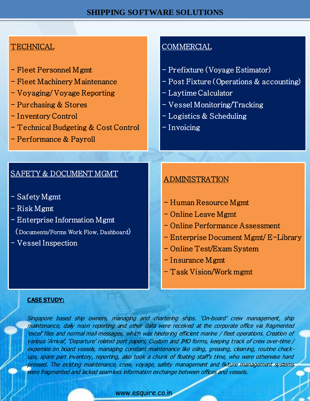#### **TECHNICAL**

- Fleet Personnel Mgmt
- Fleet Machinery Maintenance
- Voyaging/ Voyage Reporting
- Purchasing & Stores
- Inventory Control
- Technical Budgeting & Cost Control
- Performance & Payroll

#### SAFETY & DOCUMENT MGMT

- Safety Mgmt
- Risk Mgmt
- Enterprise Information Mgmt
- ( Documents/Forms Work Flow, Dashboard)
- Vessel Inspection

#### **COMMERCIAL**

- Prefixture (Voyage Estimator)
- Post Fixture (Operations & accounting)
- Laytime Calculator
- Vessel Monitoring/Tracking
- Logistics & Scheduling
- Invoicing

#### ADMINISTRATION

- Human Resource Mgmt
- Online Leave Mgmt
- Online Performance Assessment
- Enterprise Document Mgmt/ E-Library
- Online Test/Exam System
- Insurance Mgmt
- Task Vision/Work mgmt

#### **CASE STUDY:**

Singapore based ship owners, managing and chartering ships. 'On-board' crew management, ship maintenance, daily noon reporting and other data were received at the corporate office via fragmented 'excel' files and normal mail messages, which was hindering efficient marine / fleet operations. Creation of various 'Arrival', 'Departure' related port papers, Custom and IMO forms, keeping track of crew over-time / expenses on board vessels, managing constant maintenance like oiling, greasing, cleaning, routine checkups, spare part inventory, reporting, also took a chunk of floating staff's time, who were otherwise hard pressed. The existing maintenance, crew, voyage, safety management and fixture management systems were fragmented and lacked seamless information exchange between offices and vessels.